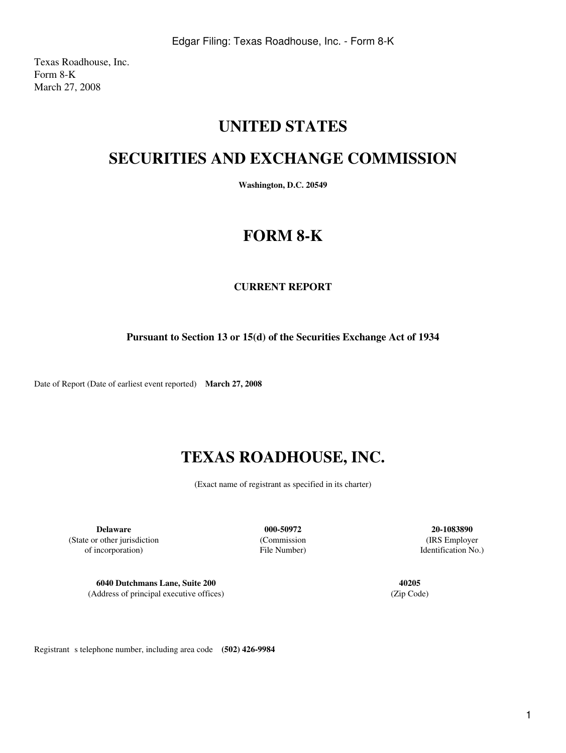Texas Roadhouse, Inc. Form 8-K March 27, 2008

## **UNITED STATES**

## **SECURITIES AND EXCHANGE COMMISSION**

**Washington, D.C. 20549**

# **FORM 8-K**

### **CURRENT REPORT**

**Pursuant to Section 13 or 15(d) of the Securities Exchange Act of 1934**

Date of Report (Date of earliest event reported) **March 27, 2008**

# **TEXAS ROADHOUSE, INC.**

(Exact name of registrant as specified in its charter)

**Delaware 000-50972 20-1083890** (State or other jurisdiction (Commission (IRS Employer of incorporation) File Number) Identification No.)

**6040 Dutchmans Lane, Suite 200 40205** (Address of principal executive offices) (Zip Code)

Registrant s telephone number, including area code **(502) 426-9984**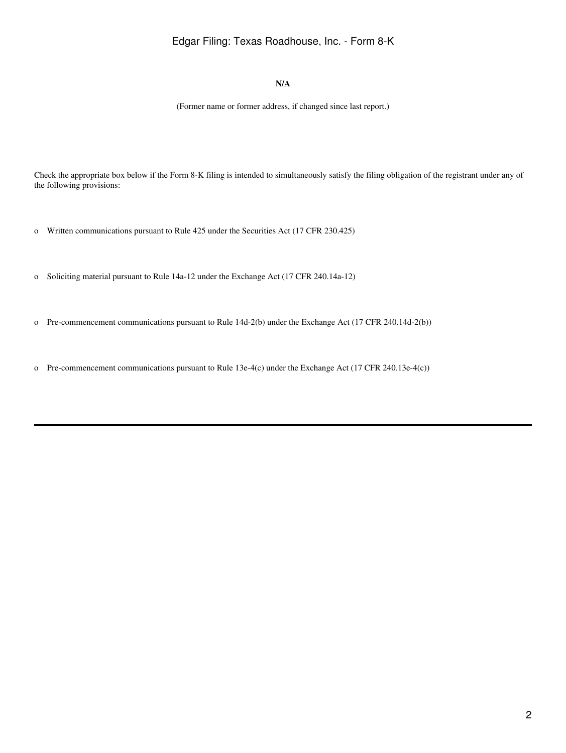### Edgar Filing: Texas Roadhouse, Inc. - Form 8-K

#### **N/A**

(Former name or former address, if changed since last report.)

Check the appropriate box below if the Form 8-K filing is intended to simultaneously satisfy the filing obligation of the registrant under any of the following provisions:

- o Written communications pursuant to Rule 425 under the Securities Act (17 CFR 230.425)
- o Soliciting material pursuant to Rule 14a-12 under the Exchange Act (17 CFR 240.14a-12)
- o Pre-commencement communications pursuant to Rule 14d-2(b) under the Exchange Act (17 CFR 240.14d-2(b))
- o Pre-commencement communications pursuant to Rule 13e-4(c) under the Exchange Act (17 CFR 240.13e-4(c))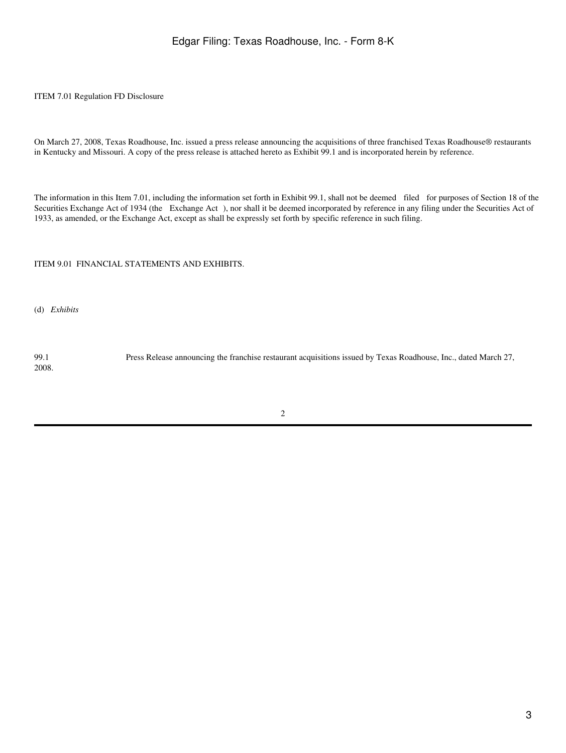#### ITEM 7.01 Regulation FD Disclosure

On March 27, 2008, Texas Roadhouse, Inc. issued a press release announcing the acquisitions of three franchised Texas Roadhouse® restaurants in Kentucky and Missouri. A copy of the press release is attached hereto as Exhibit 99.1 and is incorporated herein by reference.

The information in this Item 7.01, including the information set forth in Exhibit 99.1, shall not be deemed filed for purposes of Section 18 of the Securities Exchange Act of 1934 (the Exchange Act), nor shall it be deemed incorporated by reference in any filing under the Securities Act of 1933, as amended, or the Exchange Act, except as shall be expressly set forth by specific reference in such filing.

#### ITEM 9.01 FINANCIAL STATEMENTS AND EXHIBITS.

(d) *Exhibits*

99.1 Press Release announcing the franchise restaurant acquisitions issued by Texas Roadhouse, Inc., dated March 27, 2008.

2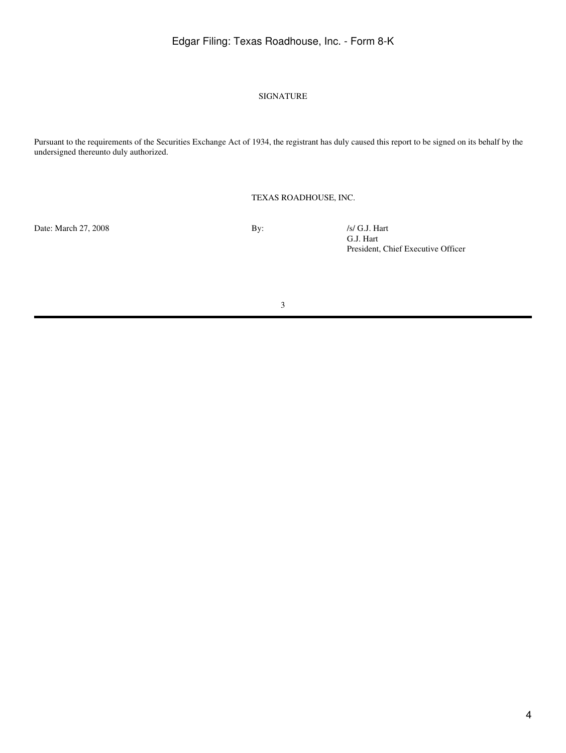### Edgar Filing: Texas Roadhouse, Inc. - Form 8-K

#### SIGNATURE

Pursuant to the requirements of the Securities Exchange Act of 1934, the registrant has duly caused this report to be signed on its behalf by the undersigned thereunto duly authorized.

TEXAS ROADHOUSE, INC.

Date: March 27, 2008 By: /s/ G.J. Hart

G.J. Hart President, Chief Executive Officer

3